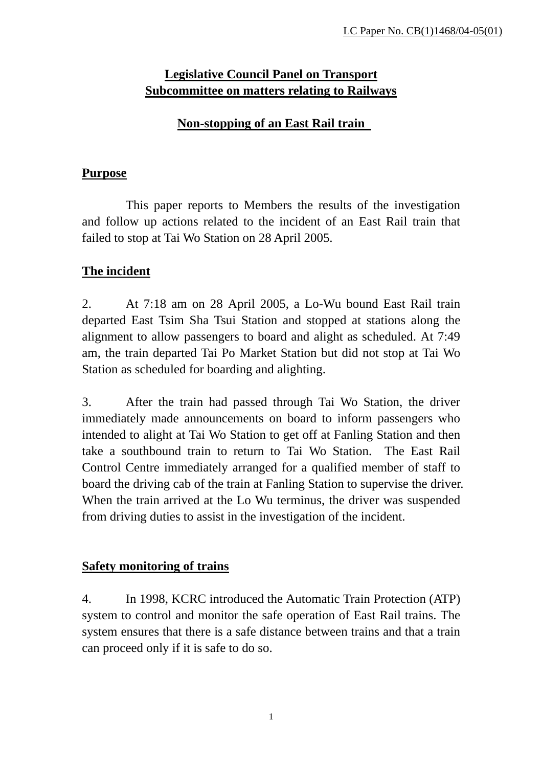# **Legislative Council Panel on Transport Subcommittee on matters relating to Railways**

### **Non-stopping of an East Rail train**

#### **Purpose**

 This paper reports to Members the results of the investigation and follow up actions related to the incident of an East Rail train that failed to stop at Tai Wo Station on 28 April 2005.

# **The incident**

2. At 7:18 am on 28 April 2005, a Lo-Wu bound East Rail train departed East Tsim Sha Tsui Station and stopped at stations along the alignment to allow passengers to board and alight as scheduled. At 7:49 am, the train departed Tai Po Market Station but did not stop at Tai Wo Station as scheduled for boarding and alighting.

3. After the train had passed through Tai Wo Station, the driver immediately made announcements on board to inform passengers who intended to alight at Tai Wo Station to get off at Fanling Station and then take a southbound train to return to Tai Wo Station. The East Rail Control Centre immediately arranged for a qualified member of staff to board the driving cab of the train at Fanling Station to supervise the driver. When the train arrived at the Lo Wu terminus, the driver was suspended from driving duties to assist in the investigation of the incident.

### **Safety monitoring of trains**

4. In 1998, KCRC introduced the Automatic Train Protection (ATP) system to control and monitor the safe operation of East Rail trains. The system ensures that there is a safe distance between trains and that a train can proceed only if it is safe to do so.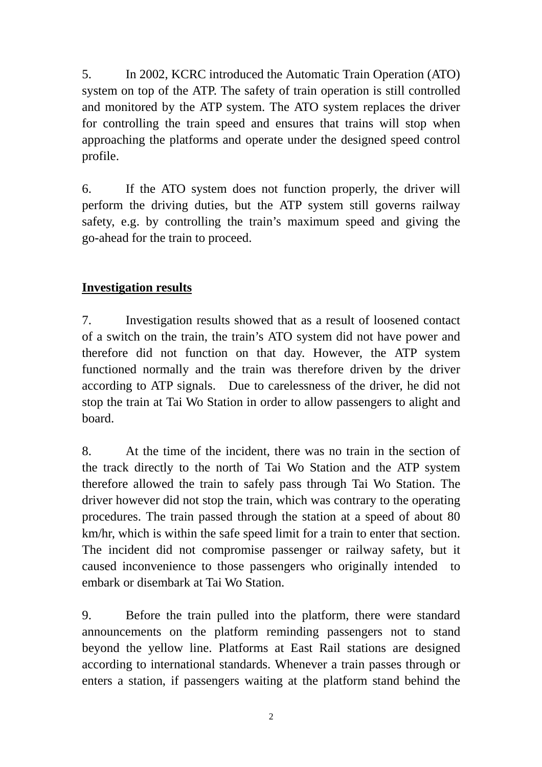5. In 2002, KCRC introduced the Automatic Train Operation (ATO) system on top of the ATP. The safety of train operation is still controlled and monitored by the ATP system. The ATO system replaces the driver for controlling the train speed and ensures that trains will stop when approaching the platforms and operate under the designed speed control profile.

6. If the ATO system does not function properly, the driver will perform the driving duties, but the ATP system still governs railway safety, e.g. by controlling the train's maximum speed and giving the go-ahead for the train to proceed.

### **Investigation results**

7. Investigation results showed that as a result of loosened contact of a switch on the train, the train's ATO system did not have power and therefore did not function on that day. However, the ATP system functioned normally and the train was therefore driven by the driver according to ATP signals. Due to carelessness of the driver, he did not stop the train at Tai Wo Station in order to allow passengers to alight and board.

8. At the time of the incident, there was no train in the section of the track directly to the north of Tai Wo Station and the ATP system therefore allowed the train to safely pass through Tai Wo Station. The driver however did not stop the train, which was contrary to the operating procedures. The train passed through the station at a speed of about 80 km/hr, which is within the safe speed limit for a train to enter that section. The incident did not compromise passenger or railway safety, but it caused inconvenience to those passengers who originally intended to embark or disembark at Tai Wo Station.

9. Before the train pulled into the platform, there were standard announcements on the platform reminding passengers not to stand beyond the yellow line. Platforms at East Rail stations are designed according to international standards. Whenever a train passes through or enters a station, if passengers waiting at the platform stand behind the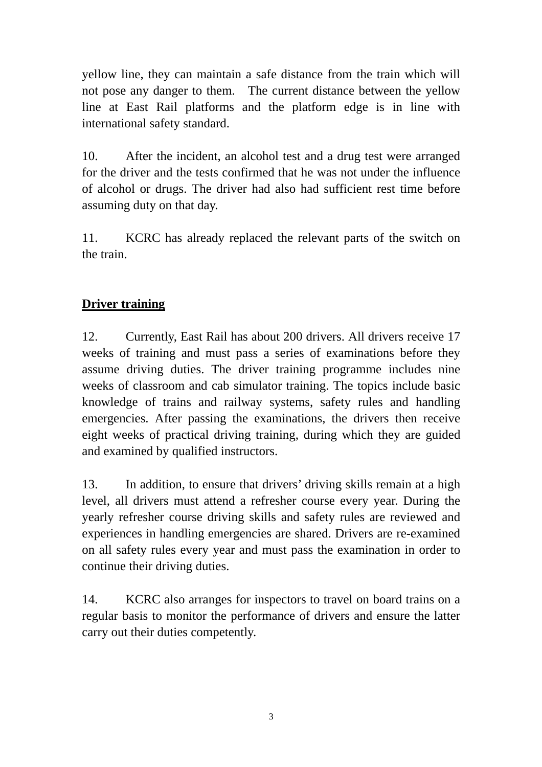yellow line, they can maintain a safe distance from the train which will not pose any danger to them. The current distance between the yellow line at East Rail platforms and the platform edge is in line with international safety standard.

10. After the incident, an alcohol test and a drug test were arranged for the driver and the tests confirmed that he was not under the influence of alcohol or drugs. The driver had also had sufficient rest time before assuming duty on that day.

11. KCRC has already replaced the relevant parts of the switch on the train.

# **Driver training**

12. Currently, East Rail has about 200 drivers. All drivers receive 17 weeks of training and must pass a series of examinations before they assume driving duties. The driver training programme includes nine weeks of classroom and cab simulator training. The topics include basic knowledge of trains and railway systems, safety rules and handling emergencies. After passing the examinations, the drivers then receive eight weeks of practical driving training, during which they are guided and examined by qualified instructors.

13. In addition, to ensure that drivers' driving skills remain at a high level, all drivers must attend a refresher course every year. During the yearly refresher course driving skills and safety rules are reviewed and experiences in handling emergencies are shared. Drivers are re-examined on all safety rules every year and must pass the examination in order to continue their driving duties.

14. KCRC also arranges for inspectors to travel on board trains on a regular basis to monitor the performance of drivers and ensure the latter carry out their duties competently.